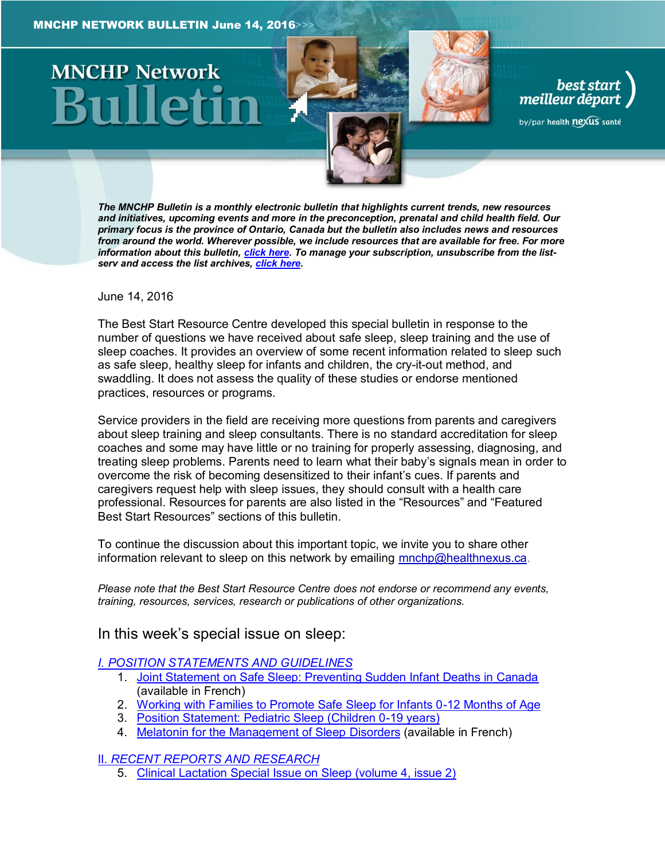# **MNCHP Network**

*The MNCHP Bulletin is a monthly electronic bulletin that highlights current trends, new resources and initiatives, upcoming events and more in the preconception, prenatal and child health field. Our primary focus is the province of Ontario, Canada but the bulletin also includes news and resources from around the world. Wherever possible, we include resources that are available for free. For more information about this bulletin, [click here.](#page-17-0) To manage your subscription, unsubscribe from the listserv and access the list archives, [click here.](http://en.beststart.org/services/information-exchange)* 

best start

meilleur départ

by/par health nexus santé

<span id="page-0-0"></span>June 14, 2016

The Best Start Resource Centre developed this special bulletin in response to the number of questions we have received about safe sleep, sleep training and the use of sleep coaches. It provides an overview of some recent information related to sleep such as safe sleep, healthy sleep for infants and children, the cry-it-out method, and swaddling. It does not assess the quality of these studies or endorse mentioned practices, resources or programs.

Service providers in the field are receiving more questions from parents and caregivers about sleep training and sleep consultants. There is no standard accreditation for sleep coaches and some may have little or no training for properly assessing, diagnosing, and treating sleep problems. Parents need to learn what their baby's signals mean in order to overcome the risk of becoming desensitized to their infant's cues. If parents and caregivers request help with sleep issues, they should consult with a health care professional. Resources for parents are also listed in the "Resources" and "Featured Best Start Resources" sections of this bulletin.

To continue the discussion about this important topic, we invite you to share other information relevant to sleep on this network by emailing [mnchp@healthnexus.ca.](mailto:mnchp@healthnexus.ca)

*Please note that the Best Start Resource Centre does not endorse or recommend any events, training, resources, services, research or publications of other organizations.*

In this week's special issue on sleep:

#### *[I. POSITION STATEMENTS AND GUIDELINES](#page-2-0)*

- 1. [Joint Statement on Safe Sleep: Preventing Sudden Infant Deaths in Canada](#page-2-1) (available in French)
- 2. [Working with Families to Promote Safe Sleep for Infants 0-12 Months of Age](#page-2-2)
- 3. [Position Statement: Pediatric Sleep \(Children 0-19 years\)](#page-2-3)
- 4. [Melatonin for the Management of Sleep](#page-3-0) Disorders (available in French)

II. *[RECENT REPORTS AND RESEARCH](#page-4-0)*

5. [Clinical Lactation Special Issue on Sleep \(volume 4, issue 2\)](#page-4-1)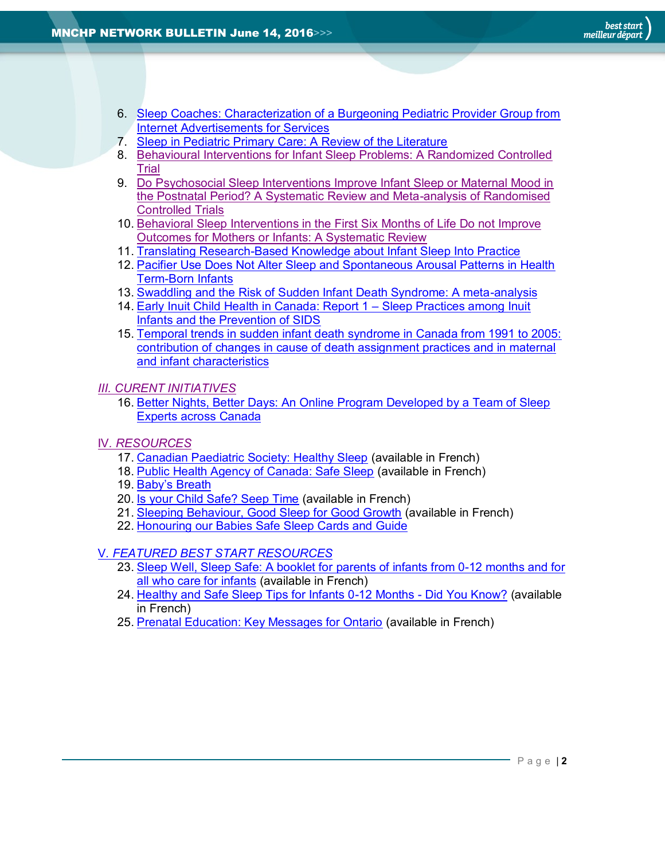- 6. [Sleep Coaches: Characterization of a Burgeoning Pediatric Provider Group from](#page-4-2)  [Internet Advertisements for Services](#page-4-2)
- 7. [Sleep in Pediatric Primary Care: A Review of the Literature](#page-5-0)
- 8. [Behavioural Interventions for Infant Sleep Problems: A Randomized Controlled](#page-5-1)  [Trial](#page-5-1)
- 9. [Do Psychosocial Sleep Interventions Improve Infant Sleep or Maternal Mood in](#page-6-0)  [the Postnatal Period? A Systematic Review and Meta-analysis of Randomised](#page-6-0)  [Controlled Trials](#page-6-0)
- 10. [Behavioral Sleep Interventions in the First Six Months of Life Do not Improve](#page-7-0)  [Outcomes for Mothers or Infants: A Systematic Review](#page-7-0)
- 11. [Translating Research-Based Knowledge about Infant Sleep Into Practice](#page-7-0)
- 12. [Pacifier Use Does Not Alter Sleep and Spontaneous Arousal Patterns in Health](#page-9-0)  [Term-Born Infants](#page-9-0)
- 13. [Swaddling and the Risk of Sudden Infant Death Syndrome: A meta-analysis](#page-10-0)
- 14. [Early Inuit Child Health in Canada: Report 1](#page-11-0)  Sleep Practices among Inuit [Infants and the Prevention of SIDS](#page-11-0)
- 15. [Temporal trends in sudden infant death syndrome in Canada from 1991 to 2005:](#page-12-0)  [contribution of changes in cause of death assignment practices and in maternal](#page-12-0)  [and infant characteristics](#page-12-0)

*[III. CURENT INITIATIVES](#page-13-0)* 

- 16. [Better Nights, Better Days: An Online Program Developed by a Team of Sleep](#page-13-1)  [Experts across Canada](#page-13-1)
- IV*. [RESOURCES](#page-14-0)*
	- 17. [Canadian Paediatric Society: Healthy Sleep](#page-14-1) (available in French)
	- 18. [Public Health Agency of Canada: Safe Sleep](#page-14-2) (available in French)
	- 19. [Baby's Breath](#page-14-3)
	- 20. [Is your Child Safe? Seep Time](#page-15-0) (available in French)
	- 21. [Sleeping Behaviour, Good Sleep for Good Growth](#page-15-1) (available in French)
	- 22. [Honouring our Babies Safe Sleep Cards and Guide](#page-15-2)

#### V*[. FEATURED BEST START RESOURCES](#page-16-0)*

- 23. [Sleep Well, Sleep Safe: A booklet for parents of infants from 0-12 months and for](#page-16-1)  [all who care for infants](#page-16-1) (available in French)
- 24. [Healthy and Safe Sleep Tips for Infants 0-12 Months -](#page-16-2) Did You Know? (available in French)
- 25. [Prenatal Education: Key Messages for Ontario](#page-17-1) (available in French)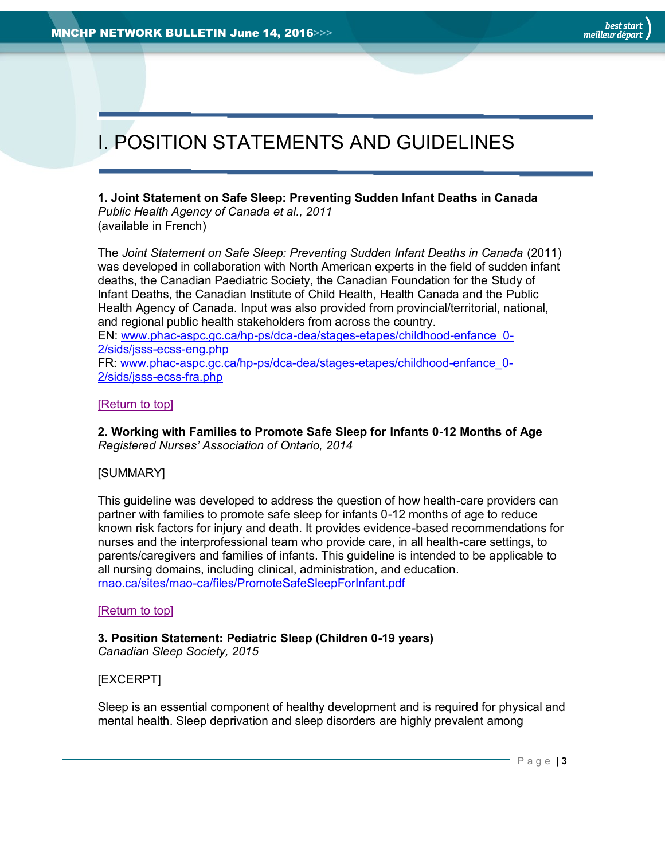## <span id="page-2-0"></span>I. POSITION STATEMENTS AND GUIDELINES

<span id="page-2-1"></span>**1. Joint Statement on Safe Sleep: Preventing Sudden Infant Deaths in Canada** *Public Health Agency of Canada et al., 2011* (available in French)

The *Joint Statement on Safe Sleep: Preventing Sudden Infant Deaths in Canada* (2011) was developed in collaboration with North American experts in the field of sudden infant deaths, the Canadian Paediatric Society, the Canadian Foundation for the Study of Infant Deaths, the Canadian Institute of Child Health, Health Canada and the Public Health Agency of Canada. Input was also provided from provincial/territorial, national, and regional public health stakeholders from across the country. EN: [www.phac-aspc.gc.ca/hp-ps/dca-dea/stages-etapes/childhood-enfance\\_0-](http://www.phac-aspc.gc.ca/hp-ps/dca-dea/stages-etapes/childhood-enfance_0-2/sids/jsss-ecss-eng.php) [2/sids/jsss-ecss-eng.php](http://www.phac-aspc.gc.ca/hp-ps/dca-dea/stages-etapes/childhood-enfance_0-2/sids/jsss-ecss-eng.php) FR: [www.phac-aspc.gc.ca/hp-ps/dca-dea/stages-etapes/childhood-enfance\\_0-](http://www.phac-aspc.gc.ca/hp-ps/dca-dea/stages-etapes/childhood-enfance_0-2/sids/jsss-ecss-fra.php) [2/sids/jsss-ecss-fra.php](http://www.phac-aspc.gc.ca/hp-ps/dca-dea/stages-etapes/childhood-enfance_0-2/sids/jsss-ecss-fra.php)

#### [\[Return to top\]](#page-0-0)

<span id="page-2-2"></span>**2. Working with Families to Promote Safe Sleep for Infants 0-12 Months of Age** *Registered Nurses' Association of Ontario, 2014*

#### [SUMMARY]

This guideline was developed to address the question of how health-care providers can partner with families to promote safe sleep for infants 0-12 months of age to reduce known risk factors for injury and death. It provides evidence-based recommendations for nurses and the interprofessional team who provide care, in all health-care settings, to parents/caregivers and families of infants. This guideline is intended to be applicable to all nursing domains, including clinical, administration, and education. [rnao.ca/sites/rnao-ca/files/PromoteSafeSleepForInfant.pdf](http://rnao.ca/sites/rnao-ca/files/PromoteSafeSleepForInfant.pdf)

#### [\[Return to top\]](#page-0-0)

<span id="page-2-3"></span>**3. Position Statement: Pediatric Sleep (Children 0-19 years)** *Canadian Sleep Society, 2015*

#### [EXCERPT]

Sleep is an essential component of healthy development and is required for physical and mental health. Sleep deprivation and sleep disorders are highly prevalent among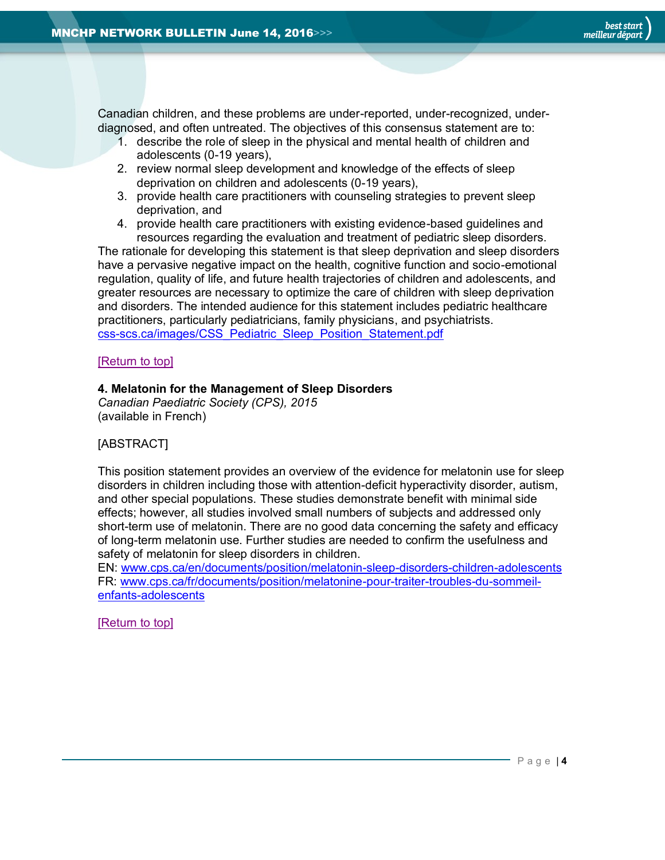Canadian children, and these problems are under-reported, under-recognized, underdiagnosed, and often untreated. The objectives of this consensus statement are to:

- 1. describe the role of sleep in the physical and mental health of children and adolescents (0-19 years),
- 2. review normal sleep development and knowledge of the effects of sleep deprivation on children and adolescents (0-19 years),
- 3. provide health care practitioners with counseling strategies to prevent sleep deprivation, and
- 4. provide health care practitioners with existing evidence-based guidelines and resources regarding the evaluation and treatment of pediatric sleep disorders.

The rationale for developing this statement is that sleep deprivation and sleep disorders have a pervasive negative impact on the health, cognitive function and socio-emotional regulation, quality of life, and future health trajectories of children and adolescents, and greater resources are necessary to optimize the care of children with sleep deprivation and disorders. The intended audience for this statement includes pediatric healthcare practitioners, particularly pediatricians, family physicians, and psychiatrists. [css-scs.ca/images/CSS\\_Pediatric\\_Sleep\\_Position\\_Statement.pdf](http://css-scs.ca/images/CSS_Pediatric_Sleep_Position_Statement.pdf)

#### [\[Return to top\]](#page-0-0)

#### <span id="page-3-0"></span>**4. Melatonin for the Management of Sleep Disorders**

*Canadian Paediatric Society (CPS), 2015*  (available in French)

#### [ABSTRACT]

This position statement provides an overview of the evidence for melatonin use for sleep disorders in children including those with attention-deficit hyperactivity disorder, autism, and other special populations. These studies demonstrate benefit with minimal side effects; however, all studies involved small numbers of subjects and addressed only short-term use of melatonin. There are no good data concerning the safety and efficacy of long-term melatonin use. Further studies are needed to confirm the usefulness and safety of melatonin for sleep disorders in children.

EN: [www.cps.ca/en/documents/position/melatonin-sleep-disorders-children-adolescents](http://www.cps.ca/en/documents/position/melatonin-sleep-disorders-children-adolescents) FR: [www.cps.ca/fr/documents/position/melatonine-pour-traiter-troubles-du-sommeil](http://www.cps.ca/fr/documents/position/melatonine-pour-traiter-troubles-du-sommeil-enfants-adolescents)[enfants-adolescents](http://www.cps.ca/fr/documents/position/melatonine-pour-traiter-troubles-du-sommeil-enfants-adolescents)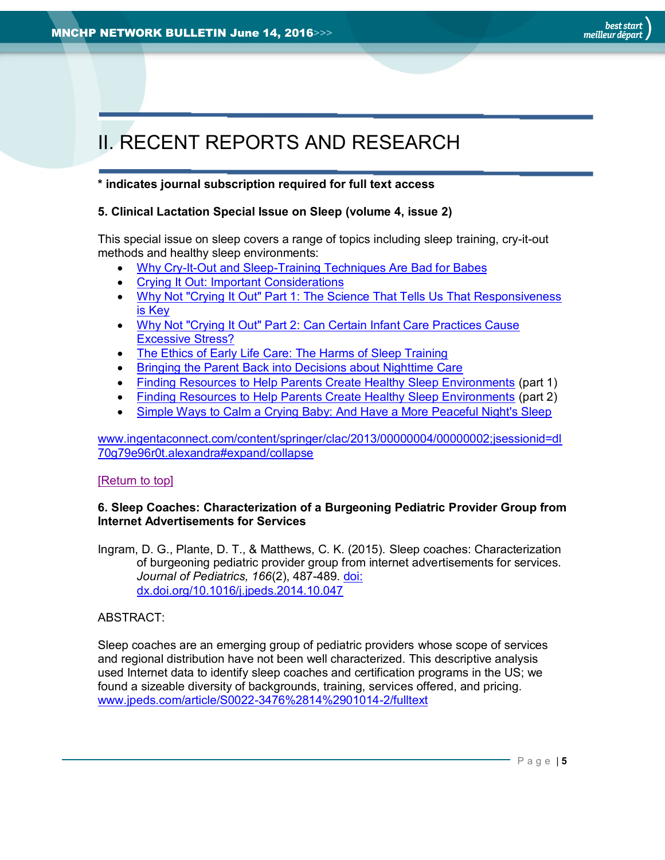# <span id="page-4-0"></span>II. RECENT REPORTS AND RESEARCH

#### **\* indicates journal subscription required for full text access**

#### <span id="page-4-1"></span>**5. Clinical Lactation Special Issue on Sleep (volume 4, issue 2)**

This special issue on sleep covers a range of topics including sleep training, cry-it-out methods and healthy sleep environments:

- [Why Cry-It-Out and Sleep-Training Techniques Are Bad for Babes](http://www.ingentaconnect.com/contentone/springer/clac/2013/00000004/00000002/art00001)
- [Crying It Out: Important Considerations](http://www.ingentaconnect.com/contentone/springer/clac/2013/00000004/00000002/art00002)
- Why Not "Crying It Out" Part 1: The Science That Tells Us That Responsiveness [is Key](http://www.ingentaconnect.com/contentone/springer/clac/2013/00000004/00000002/art00003)
- [Why Not "Crying It Out" Part 2: Can Certain Infant Care Practices Cause](http://www.ingentaconnect.com/contentone/springer/clac/2013/00000004/00000002/art00004)  [Excessive Stress?](http://www.ingentaconnect.com/contentone/springer/clac/2013/00000004/00000002/art00004)
- [The Ethics of Early Life Care: The Harms of Sleep Training](http://www.ingentaconnect.com/contentone/springer/clac/2013/00000004/00000002/art00005)
- [Bringing the Parent Back into Decisions about Nighttime Care](http://www.ingentaconnect.com/contentone/springer/clac/2013/00000004/00000002/art00006)
- [Finding Resources to Help Parents Create Healthy Sleep Environments](http://www.ingentaconnect.com/contentone/springer/clac/2013/00000004/00000002/art00007) (part 1)
- [Finding Resources to Help Parents Create Healthy Sleep Environments](http://www.ingentaconnect.com/contentone/springer/clac/2013/00000004/00000002/art00008) (part 2)
- [Simple Ways to Calm a Crying Baby: And Have a More Peaceful Night's Sleep](http://www.ingentaconnect.com/contentone/springer/clac/2013/00000004/00000002/art00009)

[www.ingentaconnect.com/content/springer/clac/2013/00000004/00000002;jsessionid=dl](http://www.ingentaconnect.com/content/springer/clac/2013/00000004/00000002;jsessionid=dl70g79e96r0t.alexandra#expand/collapse) [70g79e96r0t.alexandra#expand/collapse](http://www.ingentaconnect.com/content/springer/clac/2013/00000004/00000002;jsessionid=dl70g79e96r0t.alexandra#expand/collapse)

#### [\[Return to top\]](#page-0-0)

#### <span id="page-4-2"></span>**6. Sleep Coaches: Characterization of a Burgeoning Pediatric Provider Group from Internet Advertisements for Services**

Ingram, D. G., Plante, D. T., & Matthews, C. K. (2015). Sleep coaches: Characterization of burgeoning pediatric provider group from internet advertisements for services. *Journal of Pediatrics, 166*(2), 487-489. [doi:](http://www.jpeds.com/article/S0022-3476(14)01014-2/fulltext)  [dx.doi.org/10.1016/j.jpeds.2014.10.047](http://www.jpeds.com/article/S0022-3476(14)01014-2/fulltext)

#### ABSTRACT:

Sleep coaches are an emerging group of pediatric providers whose scope of services and regional distribution have not been well characterized. This descriptive analysis used Internet data to identify sleep coaches and certification programs in the US; we found a sizeable diversity of backgrounds, training, services offered, and pricing. [www.jpeds.com/article/S0022-3476%2814%2901014-2/fulltext](http://www.jpeds.com/article/S0022-3476%2814%2901014-2/fulltext)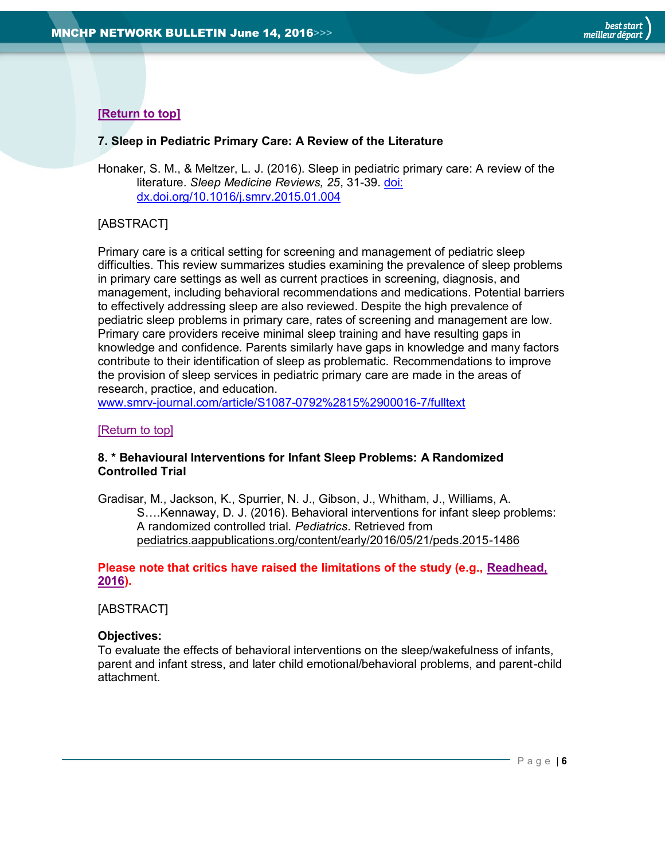#### **[\[Return to top\]](#page-0-0)**

#### <span id="page-5-0"></span>**7. Sleep in Pediatric Primary Care: A Review of the Literature**

Honaker, S. M., & Meltzer, L. J. (2016). Sleep in pediatric primary care: A review of the literature. *Sleep Medicine Reviews, 25*, 31-39. [doi:](http://www.smrv-journal.com/article/S1087-0792%2815%2900016-7/fulltext)  [dx.doi.org/10.1016/j.smrv.2015.01.004](http://www.smrv-journal.com/article/S1087-0792%2815%2900016-7/fulltext)

#### [ABSTRACT]

Primary care is a critical setting for screening and management of pediatric sleep difficulties. This review summarizes studies examining the prevalence of sleep problems in primary care settings as well as current practices in screening, diagnosis, and management, including behavioral recommendations and medications. Potential barriers to effectively addressing sleep are also reviewed. Despite the high prevalence of pediatric sleep problems in primary care, rates of screening and management are low. Primary care providers receive minimal sleep training and have resulting gaps in knowledge and confidence. Parents similarly have gaps in knowledge and many factors contribute to their identification of sleep as problematic. Recommendations to improve the provision of sleep services in pediatric primary care are made in the areas of research, practice, and education.

[www.smrv-journal.com/article/S1087-0792%2815%2900016-7/fulltext](http://www.smrv-journal.com/article/S1087-0792%2815%2900016-7/fulltext)

#### [\[Return to top\]](#page-0-0)

#### <span id="page-5-1"></span>**8. \* Behavioural Interventions for Infant Sleep Problems: A Randomized Controlled Trial**

Gradisar, M., Jackson, K., Spurrier, N. J., Gibson, J., Whitham, J., Williams, A. S….Kennaway, D. J. (2016). Behavioral interventions for infant sleep problems: A randomized controlled trial. *Pediatrics*. Retrieved from [pediatrics.aappublications.org/content/early/2016/05/21/peds.2015-1486](http://pediatrics.aappublications.org/content/early/2016/05/21/peds.2015-1486)

#### **Please note that critics have raised the limitations of the study (e.g., [Readhead,](http://pediatrics.aappublications.org/content/137/6/e20151486.comments) [2016\)](http://pediatrics.aappublications.org/content/137/6/e20151486.comments).**

#### [ABSTRACT]

#### **Objectives:**

To evaluate the effects of behavioral interventions on the sleep/wakefulness of infants, parent and infant stress, and later child emotional/behavioral problems, and parent-child attachment.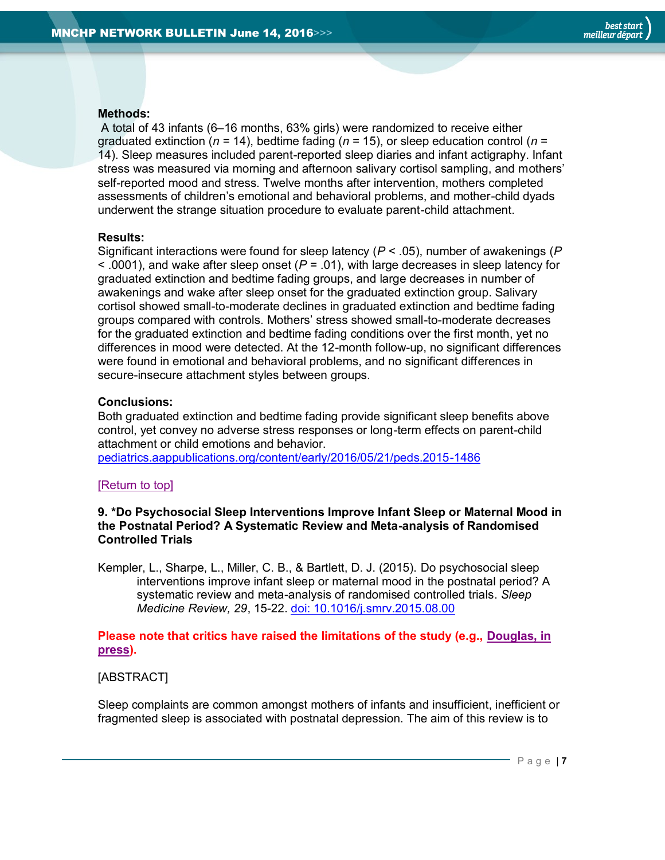#### **Methods:**

A total of 43 infants (6–16 months, 63% girls) were randomized to receive either graduated extinction (*n* = 14), bedtime fading (*n* = 15), or sleep education control (*n* = 14). Sleep measures included parent-reported sleep diaries and infant actigraphy. Infant stress was measured via morning and afternoon salivary cortisol sampling, and mothers' self-reported mood and stress. Twelve months after intervention, mothers completed assessments of children's emotional and behavioral problems, and mother-child dyads underwent the strange situation procedure to evaluate parent-child attachment.

#### **Results:**

Significant interactions were found for sleep latency (*P* < .05), number of awakenings (*P* < .0001), and wake after sleep onset (*P* = .01), with large decreases in sleep latency for graduated extinction and bedtime fading groups, and large decreases in number of awakenings and wake after sleep onset for the graduated extinction group. Salivary cortisol showed small-to-moderate declines in graduated extinction and bedtime fading groups compared with controls. Mothers' stress showed small-to-moderate decreases for the graduated extinction and bedtime fading conditions over the first month, yet no differences in mood were detected. At the 12-month follow-up, no significant differences were found in emotional and behavioral problems, and no significant differences in secure-insecure attachment styles between groups.

#### **Conclusions:**

Both graduated extinction and bedtime fading provide significant sleep benefits above control, yet convey no adverse stress responses or long-term effects on parent-child attachment or child emotions and behavior.

[pediatrics.aappublications.org/content/early/2016/05/21/peds.2015-1486](http://pediatrics.aappublications.org/content/early/2016/05/21/peds.2015-1486)

#### [\[Return to top\]](#page-0-0)

<span id="page-6-0"></span>**9. \*Do Psychosocial Sleep Interventions Improve Infant Sleep or Maternal Mood in the Postnatal Period? A Systematic Review and Meta-analysis of Randomised Controlled Trials**

Kempler, L., Sharpe, L., Miller, C. B., & Bartlett, D. J. (2015). Do psychosocial sleep interventions improve infant sleep or maternal mood in the postnatal period? A systematic review and meta-analysis of randomised controlled trials. *Sleep Medicine Review, 29*, 15-22. [doi: 10.1016/j.smrv.2015.08.00](http://www.ncbi.nlm.nih.gov/pubmed/26555938)

#### **Please note that critics have raised the limitations of the study (e.g., [Douglas, in](http://www.pameladouglas.com.au/sites/default/files/pdf/Douglas%202016%20SMR.pdf)  [press\)](http://www.pameladouglas.com.au/sites/default/files/pdf/Douglas%202016%20SMR.pdf).**

#### [ABSTRACT]

Sleep complaints are common amongst mothers of infants and insufficient, inefficient or fragmented sleep is associated with postnatal depression. The aim of this review is to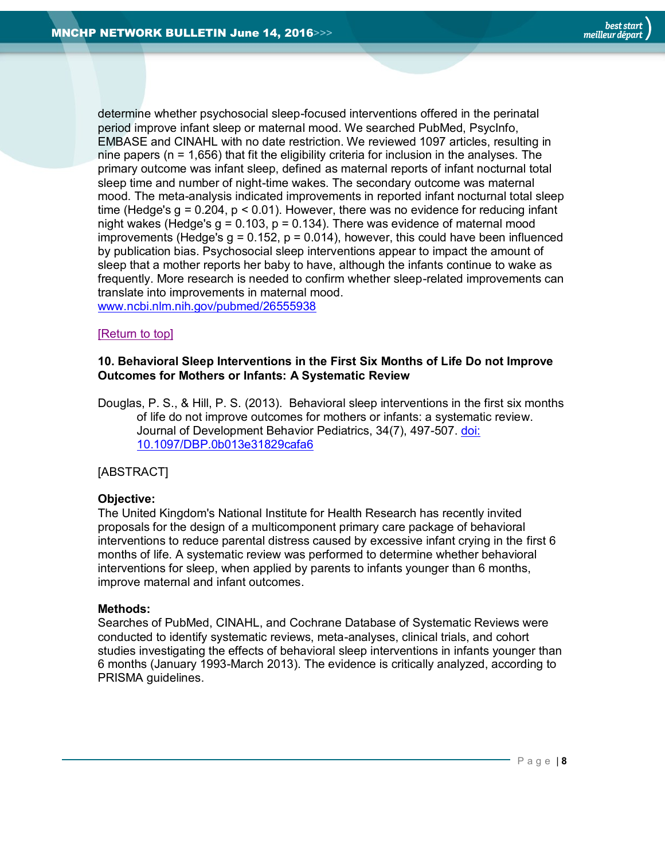determine whether psychosocial sleep-focused interventions offered in the perinatal period improve infant sleep or maternal mood. We searched PubMed, PsycInfo, EMBASE and CINAHL with no date restriction. We reviewed 1097 articles, resulting in nine papers ( $n = 1,656$ ) that fit the eligibility criteria for inclusion in the analyses. The primary outcome was infant sleep, defined as maternal reports of infant nocturnal total sleep time and number of night-time wakes. The secondary outcome was maternal mood. The meta-analysis indicated improvements in reported infant nocturnal total sleep time (Hedge's  $q = 0.204$ ,  $p < 0.01$ ). However, there was no evidence for reducing infant night wakes (Hedge's  $q = 0.103$ ,  $p = 0.134$ ). There was evidence of maternal mood improvements (Hedge's  $q = 0.152$ ,  $p = 0.014$ ), however, this could have been influenced by publication bias. Psychosocial sleep interventions appear to impact the amount of sleep that a mother reports her baby to have, although the infants continue to wake as frequently. More research is needed to confirm whether sleep-related improvements can translate into improvements in maternal mood. [www.ncbi.nlm.nih.gov/pubmed/26555938](http://www.ncbi.nlm.nih.gov/pubmed/26555938)

#### [\[Return to top\]](#page-0-0)

#### <span id="page-7-0"></span>**10. Behavioral Sleep Interventions in the First Six Months of Life Do not Improve Outcomes for Mothers or Infants: A Systematic Review**

Douglas, P. S., & Hill, P. S. (2013). Behavioral sleep interventions in the first six months of life do not improve outcomes for mothers or infants: a systematic review. Journal of Development Behavior Pediatrics, 34(7), 497-507. [doi:](http://www.ncbi.nlm.nih.gov/pubmed/24042081)  [10.1097/DBP.0b013e31829cafa6](http://www.ncbi.nlm.nih.gov/pubmed/24042081)

#### [ABSTRACT]

#### **Objective:**

The United Kingdom's National Institute for Health Research has recently invited proposals for the design of a multicomponent primary care package of behavioral interventions to reduce parental distress caused by excessive infant crying in the first 6 months of life. A systematic review was performed to determine whether behavioral interventions for sleep, when applied by parents to infants younger than 6 months, improve maternal and infant outcomes.

#### **Methods:**

Searches of PubMed, CINAHL, and Cochrane Database of Systematic Reviews were conducted to identify systematic reviews, meta-analyses, clinical trials, and cohort studies investigating the effects of behavioral sleep interventions in infants younger than 6 months (January 1993-March 2013). The evidence is critically analyzed, according to PRISMA guidelines.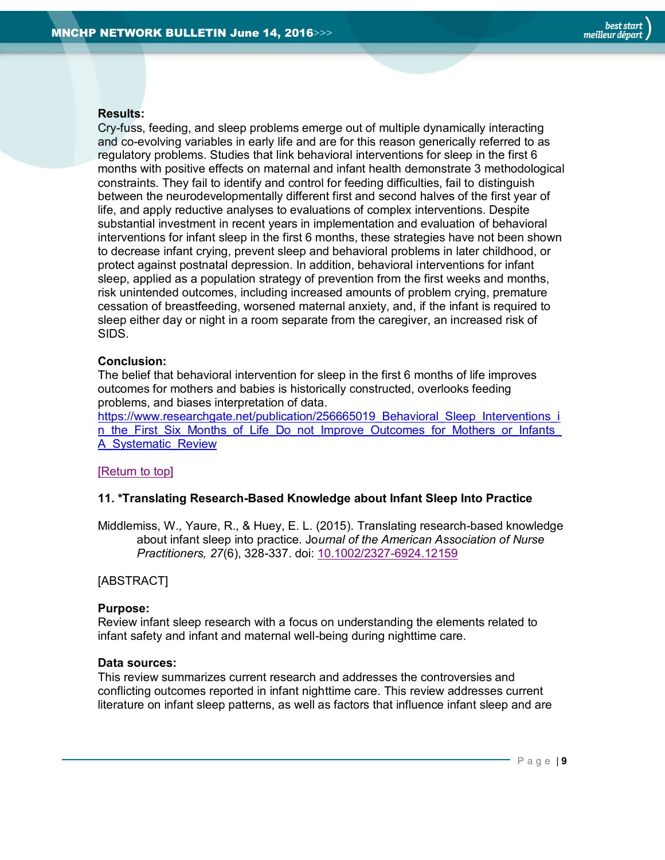#### **Results:**

Cry-fuss, feeding, and sleep problems emerge out of multiple dynamically interacting and co-evolving variables in early life and are for this reason generically referred to as regulatory problems. Studies that link behavioral interventions for sleep in the first 6 months with positive effects on maternal and infant health demonstrate 3 methodological constraints. They fail to identify and control for feeding difficulties, fail to distinguish between the neurodevelopmentally different first and second halves of the first year of life, and apply reductive analyses to evaluations of complex interventions. Despite substantial investment in recent years in implementation and evaluation of behavioral interventions for infant sleep in the first 6 months, these strategies have not been shown to decrease infant crying, prevent sleep and behavioral problems in later childhood, or protect against postnatal depression. In addition, behavioral interventions for infant sleep, applied as a population strategy of prevention from the first weeks and months, risk unintended outcomes, including increased amounts of problem crying, premature cessation of breastfeeding, worsened maternal anxiety, and, if the infant is required to sleep either day or night in a room separate from the caregiver, an increased risk of SIDS.

#### **Conclusion:**

The belief that behavioral intervention for sleep in the first 6 months of life improves outcomes for mothers and babies is historically constructed, overlooks feeding problems, and biases interpretation of data.

[https://www.researchgate.net/publication/256665019\\_Behavioral\\_Sleep\\_Interventions\\_i](https://www.researchgate.net/publication/256665019_Behavioral_Sleep_Interventions_in_the_First_Six_Months_of_Life_Do_not_Improve_Outcomes_for_Mothers_or_Infants_A_Systematic_Review) [n\\_the\\_First\\_Six\\_Months\\_of\\_Life\\_Do\\_not\\_Improve\\_Outcomes\\_for\\_Mothers\\_or\\_Infants\\_](https://www.researchgate.net/publication/256665019_Behavioral_Sleep_Interventions_in_the_First_Six_Months_of_Life_Do_not_Improve_Outcomes_for_Mothers_or_Infants_A_Systematic_Review) [A\\_Systematic\\_Review](https://www.researchgate.net/publication/256665019_Behavioral_Sleep_Interventions_in_the_First_Six_Months_of_Life_Do_not_Improve_Outcomes_for_Mothers_or_Infants_A_Systematic_Review)

#### [\[Return to top\]](#page-0-0)

#### **11. \*Translating Research-Based Knowledge about Infant Sleep Into Practice**

Middlemiss, W., Yaure, R., & Huey, E. L. (2015). Translating research-based knowledge about infant sleep into practice. Jo*urnal of the American Association of Nurse Practitioners, 27*(6), 328-337. doi: [10.1002/2327-6924.12159](http://www.ncbi.nlm.nih.gov/pubmed/25088326)

#### [ABSTRACT]

#### **Purpose:**

Review infant sleep research with a focus on understanding the elements related to infant safety and infant and maternal well-being during nighttime care.

#### **Data sources:**

This review summarizes current research and addresses the controversies and conflicting outcomes reported in infant nighttime care. This review addresses current literature on infant sleep patterns, as well as factors that influence infant sleep and are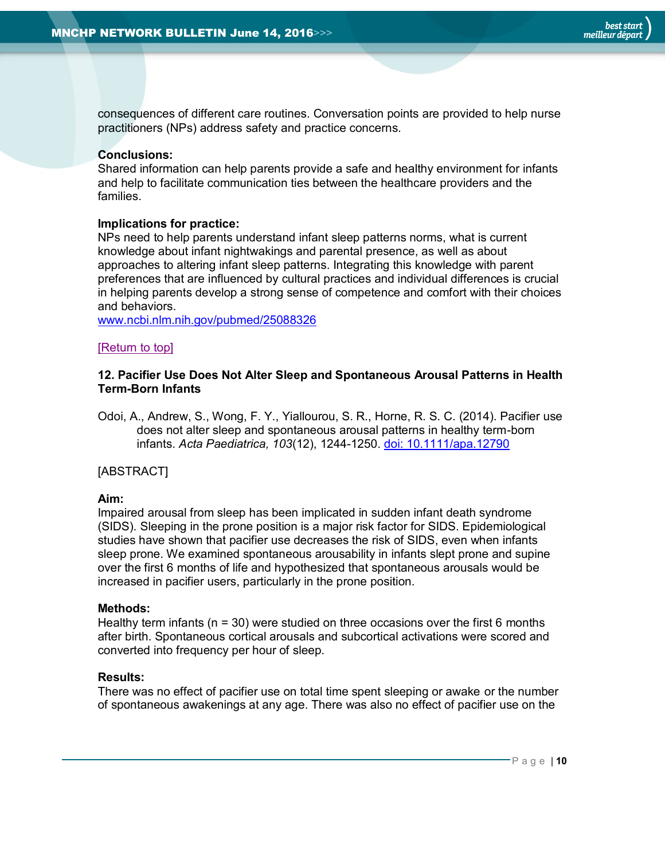consequences of different care routines. Conversation points are provided to help nurse practitioners (NPs) address safety and practice concerns.

#### **Conclusions:**

Shared information can help parents provide a safe and healthy environment for infants and help to facilitate communication ties between the healthcare providers and the families.

#### **Implications for practice:**

NPs need to help parents understand infant sleep patterns norms, what is current knowledge about infant nightwakings and parental presence, as well as about approaches to altering infant sleep patterns. Integrating this knowledge with parent preferences that are influenced by cultural practices and individual differences is crucial in helping parents develop a strong sense of competence and comfort with their choices and behaviors.

[www.ncbi.nlm.nih.gov/pubmed/25088326](http://www.ncbi.nlm.nih.gov/pubmed/25088326)

#### [\[Return to top\]](#page-0-0)

#### <span id="page-9-0"></span>**12. Pacifier Use Does Not Alter Sleep and Spontaneous Arousal Patterns in Health Term-Born Infants**

Odoi, A., Andrew, S., Wong, F. Y., Yiallourou, S. R., Horne, R. S. C. (2014). Pacifier use does not alter sleep and spontaneous arousal patterns in healthy term-born infants. *Acta Paediatrica, 103*(12), 1244-1250. [doi: 10.1111/apa.12790](http://onlinelibrary.wiley.com/doi/10.1111/apa.12790/full)

#### [ABSTRACT]

#### **Aim:**

Impaired arousal from sleep has been implicated in sudden infant death syndrome (SIDS). Sleeping in the prone position is a major risk factor for SIDS. Epidemiological studies have shown that pacifier use decreases the risk of SIDS, even when infants sleep prone. We examined spontaneous arousability in infants slept prone and supine over the first 6 months of life and hypothesized that spontaneous arousals would be increased in pacifier users, particularly in the prone position.

#### **Methods:**

Healthy term infants ( $n = 30$ ) were studied on three occasions over the first 6 months after birth. Spontaneous cortical arousals and subcortical activations were scored and converted into frequency per hour of sleep.

#### **Results:**

There was no effect of pacifier use on total time spent sleeping or awake or the number of spontaneous awakenings at any age. There was also no effect of pacifier use on the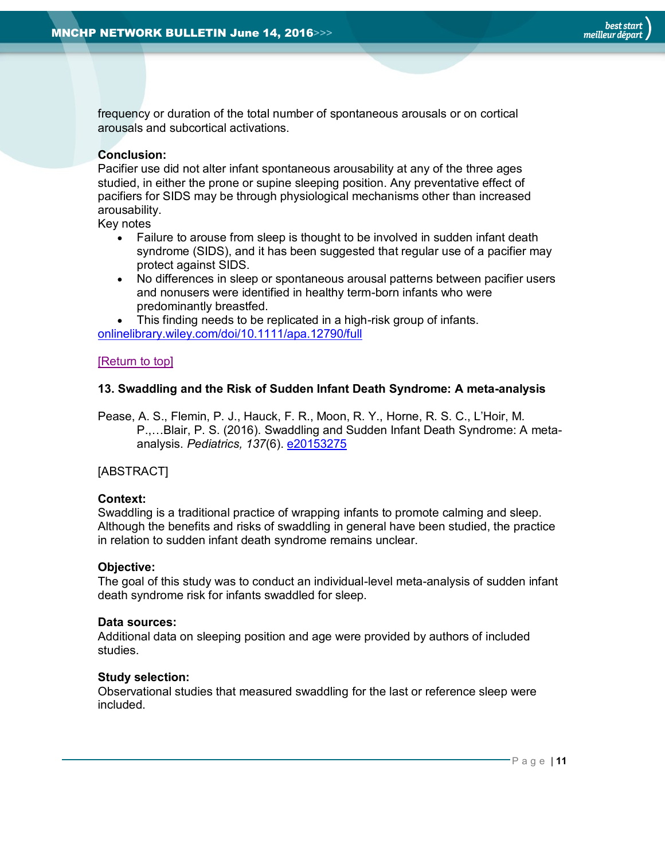frequency or duration of the total number of spontaneous arousals or on cortical arousals and subcortical activations.

#### **Conclusion:**

Pacifier use did not alter infant spontaneous arousability at any of the three ages studied, in either the prone or supine sleeping position. Any preventative effect of pacifiers for SIDS may be through physiological mechanisms other than increased arousability.

Key notes

- Failure to arouse from sleep is thought to be involved in sudden infant death syndrome (SIDS), and it has been suggested that regular use of a pacifier may protect against SIDS.
- No differences in sleep or spontaneous arousal patterns between pacifier users and nonusers were identified in healthy term-born infants who were predominantly breastfed.

 This finding needs to be replicated in a high-risk group of infants. [onlinelibrary.wiley.com/doi/10.1111/apa.12790/full](http://onlinelibrary.wiley.com/doi/10.1111/apa.12790/full)

#### [\[Return to top\]](#page-0-0)

#### <span id="page-10-0"></span>**13. Swaddling and the Risk of Sudden Infant Death Syndrome: A meta-analysis**

Pease, A. S., Flemin, P. J., Hauck, F. R., Moon, R. Y., Horne, R. S. C., L'Hoir, M. P.,…Blair, P. S. (2016). Swaddling and Sudden Infant Death Syndrome: A metaanalysis. *Pediatrics, 137*(6). [e20153275](http://pediatrics.aappublications.org/content/early/2016/05/05/peds.2015-3275)

#### [ABSTRACT]

#### **Context:**

Swaddling is a traditional practice of wrapping infants to promote calming and sleep. Although the benefits and risks of swaddling in general have been studied, the practice in relation to sudden infant death syndrome remains unclear.

#### **Objective:**

The goal of this study was to conduct an individual-level meta-analysis of sudden infant death syndrome risk for infants swaddled for sleep.

#### **Data sources:**

Additional data on sleeping position and age were provided by authors of included studies.

#### **Study selection:**

Observational studies that measured swaddling for the last or reference sleep were included.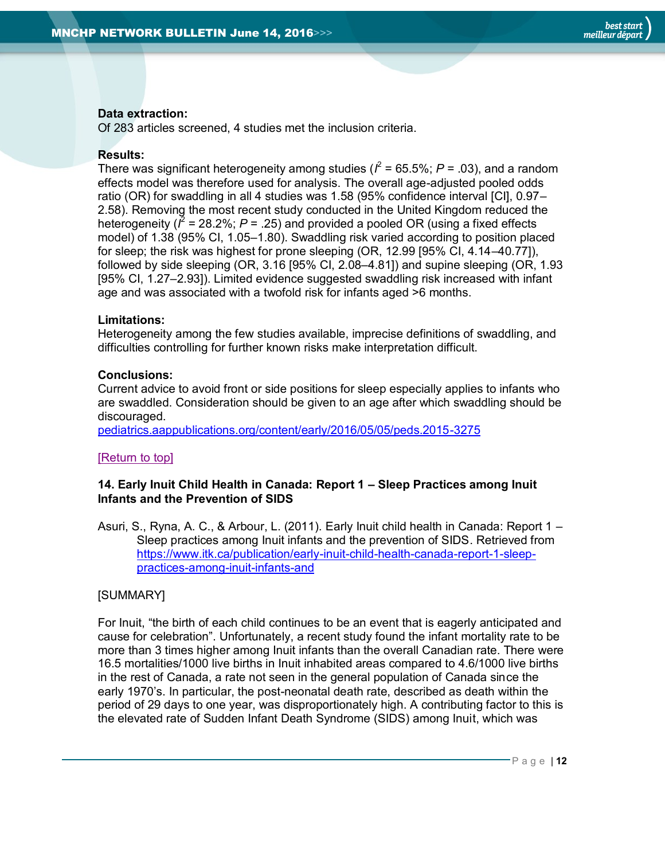#### **Data extraction:**

Of 283 articles screened, 4 studies met the inclusion criteria.

#### **Results:**

There was significant heterogeneity among studies ( $l^2$  = 65.5%;  $P$  = .03), and a random effects model was therefore used for analysis. The overall age-adjusted pooled odds ratio (OR) for swaddling in all 4 studies was 1.58 (95% confidence interval [CI], 0.97– 2.58). Removing the most recent study conducted in the United Kingdom reduced the heterogeneity ( $l^2$  = 28.2%;  $P$  = .25) and provided a pooled OR (using a fixed effects model) of 1.38 (95% CI, 1.05–1.80). Swaddling risk varied according to position placed for sleep; the risk was highest for prone sleeping (OR, 12.99 [95% CI, 4.14–40.77]), followed by side sleeping (OR, 3.16 [95% CI, 2.08–4.81]) and supine sleeping (OR, 1.93 [95% CI, 1.27–2.93]). Limited evidence suggested swaddling risk increased with infant age and was associated with a twofold risk for infants aged >6 months.

#### **Limitations:**

Heterogeneity among the few studies available, imprecise definitions of swaddling, and difficulties controlling for further known risks make interpretation difficult.

#### **Conclusions:**

Current advice to avoid front or side positions for sleep especially applies to infants who are swaddled. Consideration should be given to an age after which swaddling should be discouraged.

[pediatrics.aappublications.org/content/early/2016/05/05/peds.2015-3275](http://pediatrics.aappublications.org/content/early/2016/05/05/peds.2015-3275)

#### [\[Return to top\]](#page-0-0)

#### <span id="page-11-0"></span>**14. Early Inuit Child Health in Canada: Report 1 – Sleep Practices among Inuit Infants and the Prevention of SIDS**

Asuri, S., Ryna, A. C., & Arbour, L. (2011). Early Inuit child health in Canada: Report 1 – Sleep practices among Inuit infants and the prevention of SIDS. Retrieved from [https://www.itk.ca/publication/early-inuit-child-health-canada-report-1-sleep](https://www.itk.ca/publication/early-inuit-child-health-canada-report-1-sleep-practices-among-inuit-infants-and)[practices-among-inuit-infants-and](https://www.itk.ca/publication/early-inuit-child-health-canada-report-1-sleep-practices-among-inuit-infants-and)

#### [SUMMARY]

For Inuit, "the birth of each child continues to be an event that is eagerly anticipated and cause for celebration". Unfortunately, a recent study found the infant mortality rate to be more than 3 times higher among Inuit infants than the overall Canadian rate. There were 16.5 mortalities/1000 live births in Inuit inhabited areas compared to 4.6/1000 live births in the rest of Canada, a rate not seen in the general population of Canada since the early 1970's. In particular, the post-neonatal death rate, described as death within the period of 29 days to one year, was disproportionately high. A contributing factor to this is the elevated rate of Sudden Infant Death Syndrome (SIDS) among Inuit, which was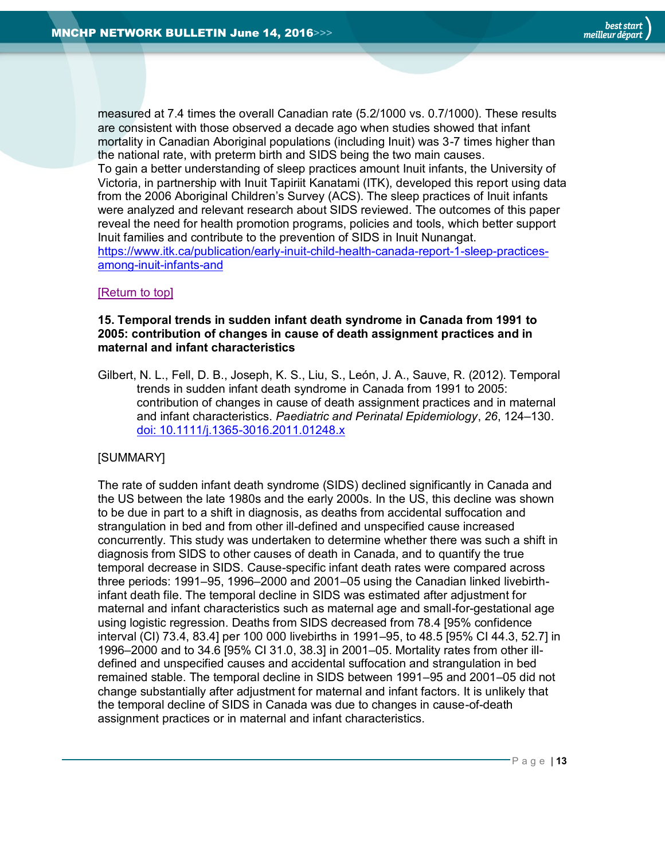measured at 7.4 times the overall Canadian rate (5.2/1000 vs. 0.7/1000). These results are consistent with those observed a decade ago when studies showed that infant mortality in Canadian Aboriginal populations (including Inuit) was 3-7 times higher than the national rate, with preterm birth and SIDS being the two main causes. To gain a better understanding of sleep practices amount Inuit infants, the University of Victoria, in partnership with Inuit Tapiriit Kanatami (ITK), developed this report using data from the 2006 Aboriginal Children's Survey (ACS). The sleep practices of Inuit infants were analyzed and relevant research about SIDS reviewed. The outcomes of this paper reveal the need for health promotion programs, policies and tools, which better support Inuit families and contribute to the prevention of SIDS in Inuit Nunangat. [https://www.itk.ca/publication/early-inuit-child-health-canada-report-1-sleep-practices](https://www.itk.ca/publication/early-inuit-child-health-canada-report-1-sleep-practices-among-inuit-infants-and)[among-inuit-infants-and](https://www.itk.ca/publication/early-inuit-child-health-canada-report-1-sleep-practices-among-inuit-infants-and)

#### [\[Return to top\]](#page-0-0)

#### <span id="page-12-0"></span>**15. Temporal trends in sudden infant death syndrome in Canada from 1991 to 2005: contribution of changes in cause of death assignment practices and in maternal and infant characteristics**

Gilbert, N. L., Fell, D. B., Joseph, K. S., Liu, S., León, J. A., Sauve, R. (2012). Temporal trends in sudden infant death syndrome in Canada from 1991 to 2005: contribution of changes in cause of death assignment practices and in maternal and infant characteristics. *Paediatric and Perinatal Epidemiology*, *26*, 124–130. [doi: 10.1111/j.1365-3016.2011.01248.x](http://onlinelibrary.wiley.com/doi/10.1111/j.1365-3016.2011.01248.x/epdf)

#### [SUMMARY]

The rate of sudden infant death syndrome (SIDS) declined significantly in Canada and the US between the late 1980s and the early 2000s. In the US, this decline was shown to be due in part to a shift in diagnosis, as deaths from accidental suffocation and strangulation in bed and from other ill-defined and unspecified cause increased concurrently. This study was undertaken to determine whether there was such a shift in diagnosis from SIDS to other causes of death in Canada, and to quantify the true temporal decrease in SIDS. Cause-specific infant death rates were compared across three periods: 1991–95, 1996–2000 and 2001–05 using the Canadian linked livebirthinfant death file. The temporal decline in SIDS was estimated after adjustment for maternal and infant characteristics such as maternal age and small-for-gestational age using logistic regression. Deaths from SIDS decreased from 78.4 [95% confidence interval (CI) 73.4, 83.4] per 100 000 livebirths in 1991–95, to 48.5 [95% CI 44.3, 52.7] in 1996–2000 and to 34.6 [95% CI 31.0, 38.3] in 2001–05. Mortality rates from other illdefined and unspecified causes and accidental suffocation and strangulation in bed remained stable. The temporal decline in SIDS between 1991–95 and 2001–05 did not change substantially after adjustment for maternal and infant factors. It is unlikely that the temporal decline of SIDS in Canada was due to changes in cause-of-death assignment practices or in maternal and infant characteristics.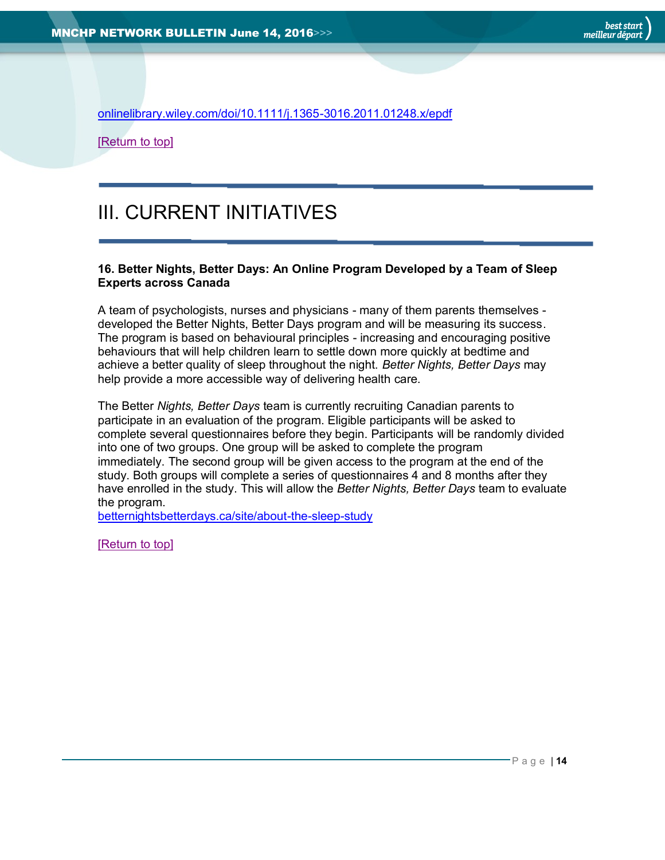[onlinelibrary.wiley.com/doi/10.1111/j.1365-3016.2011.01248.x/epdf](http://onlinelibrary.wiley.com/doi/10.1111/j.1365-3016.2011.01248.x/epdf)

[\[Return to top\]](#page-0-0)

## <span id="page-13-0"></span>III. CURRENT INITIATIVES

#### <span id="page-13-1"></span>**16. Better Nights, Better Days: An Online Program Developed by a Team of Sleep Experts across Canada**

A team of psychologists, nurses and physicians - many of them parents themselves developed the Better Nights, Better Days program and will be measuring its success. The program is based on behavioural principles - increasing and encouraging positive behaviours that will help children learn to settle down more quickly at bedtime and achieve a better quality of sleep throughout the night. *Better Nights, Better Days* may help provide a more accessible way of delivering health care.

The Better *Nights, Better Days* team is currently recruiting Canadian parents to participate in an evaluation of the program. Eligible participants will be asked to complete several questionnaires before they begin. Participants will be randomly divided into one of two groups. One group will be asked to complete the program immediately. The second group will be given access to the program at the end of the study. Both groups will complete a series of questionnaires 4 and 8 months after they have enrolled in the study. This will allow the *Better Nights, Better Days* team to evaluate the program.

[betternightsbetterdays.ca/site/about-the-sleep-study](http://betternightsbetterdays.ca/site/about-the-sleep-study)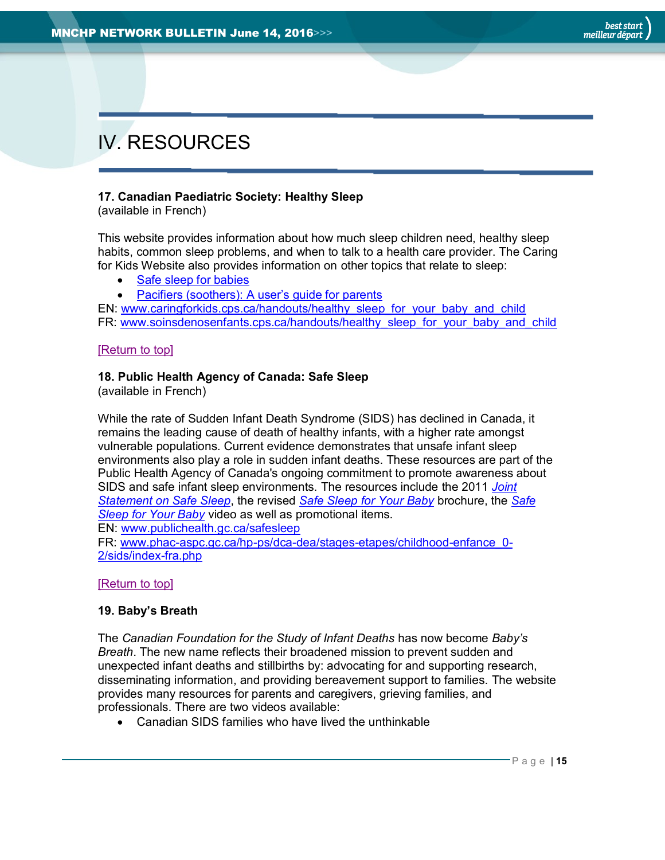# <span id="page-14-0"></span>IV. RESOURCES

#### <span id="page-14-1"></span>**17. Canadian Paediatric Society: Healthy Sleep**

(available in French)

This website provides information about how much sleep children need, healthy sleep habits, common sleep problems, and when to talk to a health care provider. The Caring for Kids Website also provides information on other topics that relate to sleep:

- [Safe sleep for babies](http://www.caringforkids.cps.ca/handouts/safe_sleep_for_babies)
- Pacifiers (soothers): A user's quide for parents

EN: [www.caringforkids.cps.ca/handouts/healthy\\_sleep\\_for\\_your\\_baby\\_and\\_child](http://www.caringforkids.cps.ca/handouts/healthy_sleep_for_your_baby_and_child) FR: [www.soinsdenosenfants.cps.ca/handouts/healthy\\_sleep\\_for\\_your\\_baby\\_and\\_child](http://www.soinsdenosenfants.cps.ca/handouts/healthy_sleep_for_your_baby_and_child)

#### [\[Return to top\]](#page-0-0)

#### <span id="page-14-2"></span>**18. Public Health Agency of Canada: Safe Sleep**

(available in French)

While the rate of Sudden Infant Death Syndrome (SIDS) has declined in Canada, it remains the leading cause of death of healthy infants, with a higher rate amongst vulnerable populations. Current evidence demonstrates that unsafe infant sleep environments also play a role in sudden infant deaths. These resources are part of the Public Health Agency of Canada's ongoing commitment to promote awareness about SIDS and safe infant sleep environments. The resources include the 2011 *[Joint](http://www.phac-aspc.gc.ca/hp-ps/dca-dea/stages-etapes/childhood-enfance_0-2/sids/jsss-ecss-eng.php)  [Statement on Safe Sleep](http://www.phac-aspc.gc.ca/hp-ps/dca-dea/stages-etapes/childhood-enfance_0-2/sids/jsss-ecss-eng.php)*, the revised *[Safe Sleep for Your Baby](http://www.phac-aspc.gc.ca/hp-ps/dca-dea/stages-etapes/childhood-enfance_0-2/sids/ssb_brochure-eng.php)* brochure, the *[Safe](http://www.phac-aspc.gc.ca/hp-ps/dca-dea/stages-etapes/childhood-enfance_0-2/sids/ss-eng.php)  [Sleep for Your Baby](http://www.phac-aspc.gc.ca/hp-ps/dca-dea/stages-etapes/childhood-enfance_0-2/sids/ss-eng.php)* video as well as promotional items.

EN: [www.publichealth.gc.ca/safesleep](http://www.publichealth.gc.ca/safesleep)

FR: [www.phac-aspc.gc.ca/hp-ps/dca-dea/stages-etapes/childhood-enfance\\_0-](http://www.phac-aspc.gc.ca/hp-ps/dca-dea/stages-etapes/childhood-enfance_0-2/sids/index-fra.php) [2/sids/index-fra.php](http://www.phac-aspc.gc.ca/hp-ps/dca-dea/stages-etapes/childhood-enfance_0-2/sids/index-fra.php)

#### [\[Return to top\]](#page-0-0)

#### <span id="page-14-3"></span>**19. Baby's Breath**

The *Canadian Foundation for the Study of Infant Deaths* has now become *Baby's Breath*. The new name reflects their broadened mission to prevent sudden and unexpected infant deaths and stillbirths by: advocating for and supporting research, disseminating information, and providing bereavement support to families. The website provides many resources for parents and caregivers, grieving families, and professionals. There are two videos available:

Canadian SIDS families who have lived the unthinkable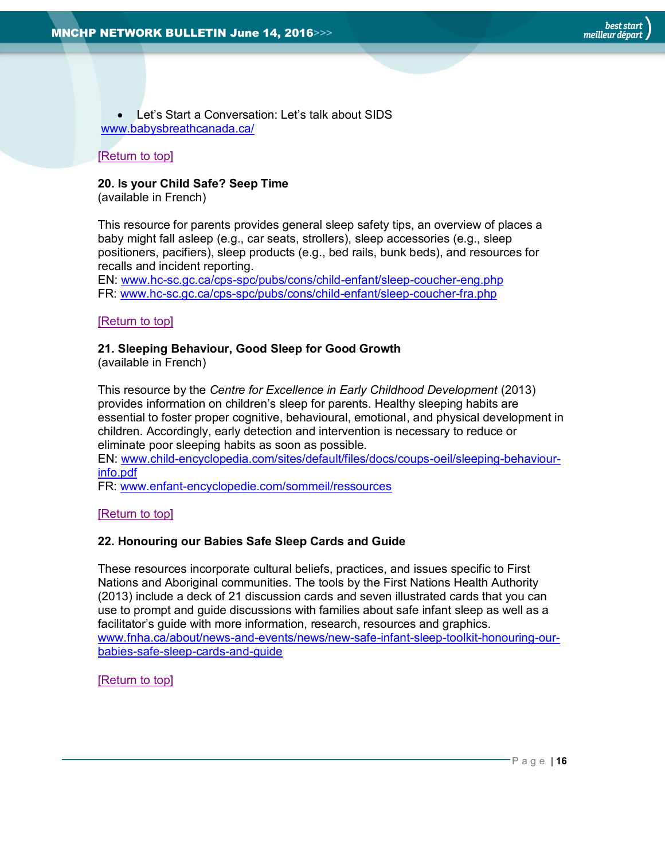Let's Start a Conversation: Let's talk about SIDS [www.babysbreathcanada.ca/](http://www.babysbreathcanada.ca/)

#### [\[Return to top\]](#page-0-0)

#### <span id="page-15-0"></span>**20. Is your Child Safe? Seep Time**

(available in French)

This resource for parents provides general sleep safety tips, an overview of places a baby might fall asleep (e.g., car seats, strollers), sleep accessories (e.g., sleep positioners, pacifiers), sleep products (e.g., bed rails, bunk beds), and resources for recalls and incident reporting.

EN: [www.hc-sc.gc.ca/cps-spc/pubs/cons/child-enfant/sleep-coucher-eng.php](http://www.hc-sc.gc.ca/cps-spc/pubs/cons/child-enfant/sleep-coucher-eng.php) FR: [www.hc-sc.gc.ca/cps-spc/pubs/cons/child-enfant/sleep-coucher-fra.php](http://www.hc-sc.gc.ca/cps-spc/pubs/cons/child-enfant/sleep-coucher-fra.php)

#### [\[Return to top\]](#page-0-0)

#### <span id="page-15-1"></span>**21. Sleeping Behaviour, Good Sleep for Good Growth**

(available in French)

This resource by the *Centre for Excellence in Early Childhood Development* (2013) provides information on children's sleep for parents. Healthy sleeping habits are essential to foster proper cognitive, behavioural, emotional, and physical development in children. Accordingly, early detection and intervention is necessary to reduce or eliminate poor sleeping habits as soon as possible.

EN: [www.child-encyclopedia.com/sites/default/files/docs/coups-oeil/sleeping-behaviour](http://www.child-encyclopedia.com/sites/default/files/docs/coups-oeil/sleeping-behaviour-info.pdf)[info.pdf](http://www.child-encyclopedia.com/sites/default/files/docs/coups-oeil/sleeping-behaviour-info.pdf)

FR: [www.enfant-encyclopedie.com/sommeil/ressources](http://www.enfant-encyclopedie.com/sommeil/ressources)

#### [\[Return to top\]](#page-0-0)

#### <span id="page-15-2"></span>**22. Honouring our Babies Safe Sleep Cards and Guide**

These resources incorporate cultural beliefs, practices, and issues specific to First Nations and Aboriginal communities. The tools by the First Nations Health Authority (2013) include a deck of 21 discussion cards and seven illustrated cards that you can use to prompt and guide discussions with families about safe infant sleep as well as a facilitator's guide with more information, research, resources and graphics. [www.fnha.ca/about/news-and-events/news/new-safe-infant-sleep-toolkit-honouring-our](http://www.fnha.ca/about/news-and-events/news/new-safe-infant-sleep-toolkit-honouring-our-babies-safe-sleep-cards-and-guide)[babies-safe-sleep-cards-and-guide](http://www.fnha.ca/about/news-and-events/news/new-safe-infant-sleep-toolkit-honouring-our-babies-safe-sleep-cards-and-guide)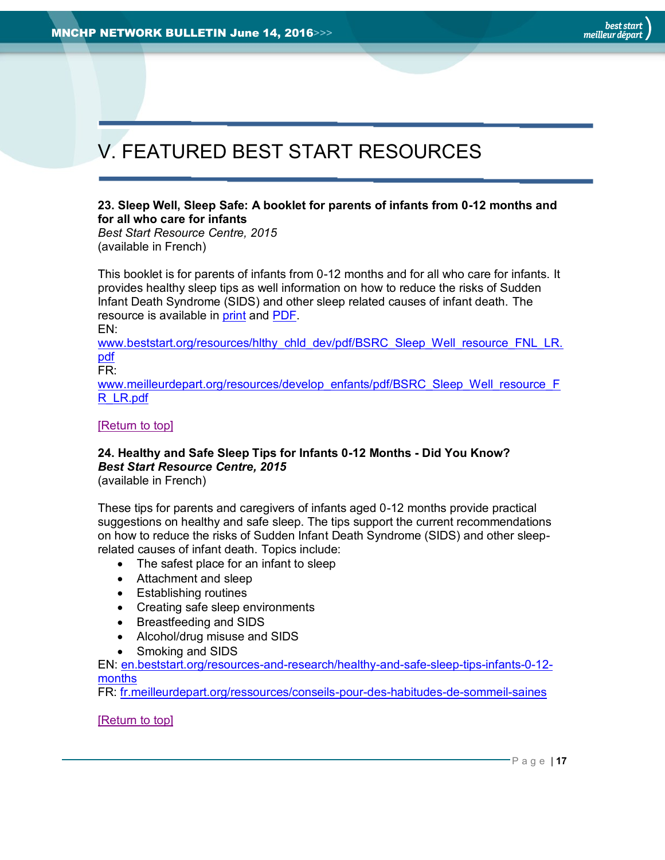# <span id="page-16-0"></span>V. FEATURED BEST START RESOURCES

#### <span id="page-16-1"></span>**23. Sleep Well, Sleep Safe: A booklet for parents of infants from 0-12 months and for all who care for infants**

*Best Start Resource Centre, 2015* (available in French)

This booklet is for parents of infants from 0-12 months and for all who care for infants. It provides healthy sleep tips as well information on how to reduce the risks of Sudden Infant Death Syndrome (SIDS) and other sleep related causes of infant death. The resource is available in [print](http://www.beststart.org/cgi-bin/commerce.cgi?search=action&category=K00E&advanced=yes&sortkey=sku&sortorder=descending) and [PDF.](http://www.beststart.org/resources/hlthy_chld_dev/pdf/BSRC_Sleep_Well_resource_FNL_LR.pdf)

EN: [www.beststart.org/resources/hlthy\\_chld\\_dev/pdf/BSRC\\_Sleep\\_Well\\_resource\\_FNL\\_LR.](http://www.beststart.org/resources/hlthy_chld_dev/pdf/BSRC_Sleep_Well_resource_FNL_LR.pdf) [pdf](http://www.beststart.org/resources/hlthy_chld_dev/pdf/BSRC_Sleep_Well_resource_FNL_LR.pdf)

FR:

[www.meilleurdepart.org/resources/develop\\_enfants/pdf/BSRC\\_Sleep\\_Well\\_resource\\_F](http://www.meilleurdepart.org/resources/develop_enfants/pdf/BSRC_Sleep_Well_resource_FR_LR.pdf) [R\\_LR.pdf](http://www.meilleurdepart.org/resources/develop_enfants/pdf/BSRC_Sleep_Well_resource_FR_LR.pdf)

#### [\[Return to top\]](#page-0-0)

### <span id="page-16-2"></span>**24. Healthy and Safe Sleep Tips for Infants 0-12 Months - Did You Know?** *Best Start Resource Centre, 2015*

(available in French)

These tips for parents and caregivers of infants aged 0-12 months provide practical suggestions on healthy and safe sleep. The tips support the current recommendations on how to reduce the risks of Sudden Infant Death Syndrome (SIDS) and other sleeprelated causes of infant death. Topics include:

- The safest place for an infant to sleep
- Attachment and sleep
- Establishing routines
- Creating safe sleep environments
- Breastfeeding and SIDS
- Alcohol/drug misuse and SIDS
- Smoking and SIDS

EN: [en.beststart.org/resources-and-research/healthy-and-safe-sleep-tips-infants-0-12](http://en.beststart.org/resources-and-research/healthy-and-safe-sleep-tips-infants-0-12-months) [months](http://en.beststart.org/resources-and-research/healthy-and-safe-sleep-tips-infants-0-12-months)

FR: [fr.meilleurdepart.org/ressources/conseils-pour-des-habitudes-de-sommeil-saines](http://fr.meilleurdepart.org/ressources/conseils-pour-des-habitudes-de-sommeil-saines)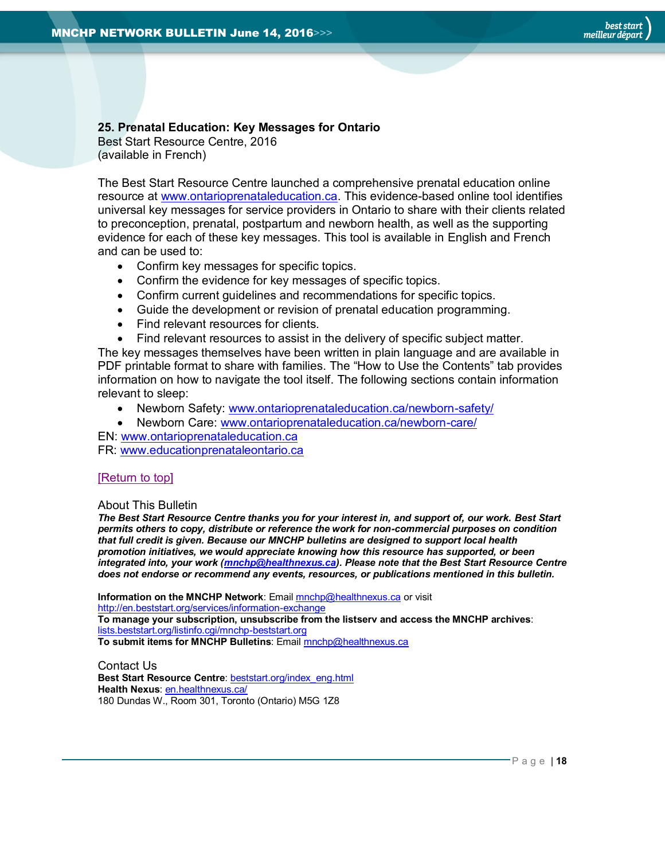#### <span id="page-17-1"></span>**25. Prenatal Education: Key Messages for Ontario**

Best Start Resource Centre, 2016 (available in French)

The Best Start Resource Centre launched a comprehensive prenatal education online resource at [www.ontarioprenataleducation.ca.](http://www.ontarioprenataleducation.ca/) This evidence-based online tool identifies universal key messages for service providers in Ontario to share with their clients related to preconception, prenatal, postpartum and newborn health, as well as the supporting evidence for each of these key messages. This tool is available in English and French and can be used to:

- Confirm key messages for specific topics.
- Confirm the evidence for key messages of specific topics.
- Confirm current guidelines and recommendations for specific topics.
- Guide the development or revision of prenatal education programming.
- Find relevant resources for clients.
- Find relevant resources to assist in the delivery of specific subject matter.

The key messages themselves have been written in plain language and are available in PDF printable format to share with families. The "How to Use the Contents" tab provides information on how to navigate the tool itself. The following sections contain information relevant to sleep:

- Newborn Safety: [www.ontarioprenataleducation.ca/newborn-safety/](http://www.ontarioprenataleducation.ca/newborn-safety/)
- Newborn Care: [www.ontarioprenataleducation.ca/newborn-care/](http://www.ontarioprenataleducation.ca/newborn-care/)

EN: [www.ontarioprenataleducation.ca](http://www.ontarioprenataleducation.ca/)

FR: [www.educationprenataleontario.ca](http://www.educationprenataleontario.ca/)

#### [\[Return to top\]](#page-0-0)

#### <span id="page-17-0"></span>About This Bulletin

*The Best Start Resource Centre thanks you for your interest in, and support of, our work. Best Start permits others to copy, distribute or reference the work for non-commercial purposes on condition that full credit is given. Because our MNCHP bulletins are designed to support local health promotion initiatives, we would appreciate knowing how this resource has supported, or been integrated into, your work [\(mnchp@healthnexus.ca\)](mailto:mnchp@healthnexus.ca). Please note that the Best Start Resource Centre does not endorse or recommend any events, resources, or publications mentioned in this bulletin.* 

**Information on the MNCHP Network:** Emai[l mnchp@healthnexus.ca](mailto:mnchp@healthnexus.ca) or visit <http://en.beststart.org/services/information-exchange> **To manage your subscription, unsubscribe from the listserv and access the MNCHP archives**: [lists.beststart.org/listinfo.cgi/mnchp-beststart.org](http://lists.beststart.org/listinfo.cgi/mnchp-beststart.org) **To submit items for MNCHP Bulletins**: Emai[l mnchp@healthnexus.ca](mailto:mnchp@healthnexus.ca)

Contact Us **Best Start Resource Centre**: [beststart.org/index\\_eng.html](http://beststart.org/index_eng.html) **Health Nexus**: [en.healthnexus.ca/](http://en.healthnexus.ca/) 180 Dundas W., Room 301, Toronto (Ontario) M5G 1Z8